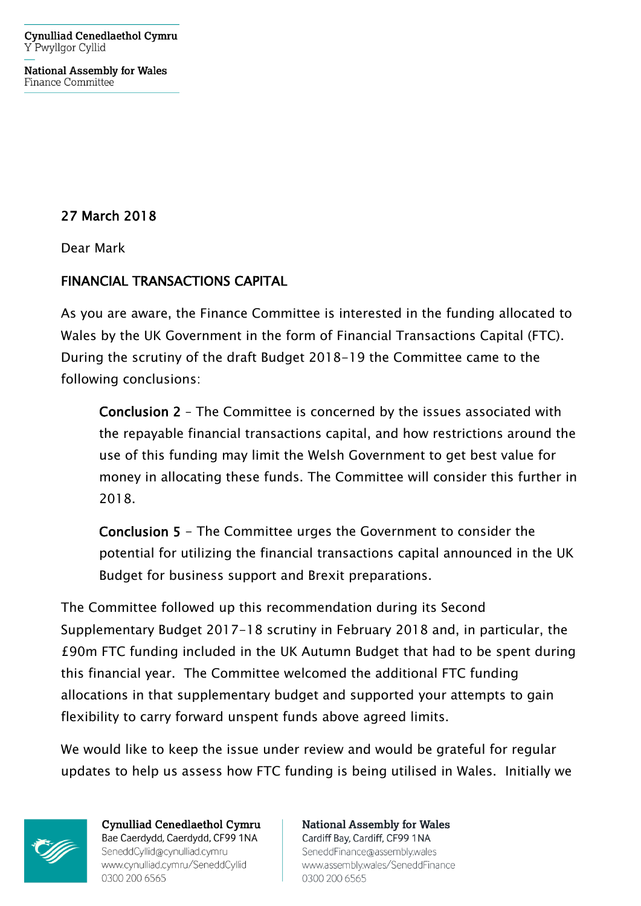**Cynulliad Cenedlaethol Cymru** Y Pwyllgor Cyllid

**National Assembly for Wales** Finance Committee

27 March 2018

Dear Mark

## FINANCIAL TRANSACTIONS CAPITAL

As you are aware, the Finance Committee is interested in the funding allocated to Wales by the UK Government in the form of Financial Transactions Capital (FTC). During the scrutiny of the draft Budget 2018-19 the Committee came to the following conclusions:

Conclusion 2 – The Committee is concerned by the issues associated with the repayable financial transactions capital, and how restrictions around the use of this funding may limit the Welsh Government to get best value for money in allocating these funds. The Committee will consider this further in 2018.

Conclusion 5 - The Committee urges the Government to consider the potential for utilizing the financial transactions capital announced in the UK Budget for business support and Brexit preparations.

The Committee followed up this recommendation during its Second Supplementary Budget 2017-18 scrutiny in February 2018 and, in particular, the £90m FTC funding included in the UK Autumn Budget that had to be spent during this financial year. The Committee welcomed the additional FTC funding allocations in that supplementary budget and supported your attempts to gain flexibility to carry forward unspent funds above agreed limits.

We would like to keep the issue under review and would be grateful for regular updates to help us assess how FTC funding is being utilised in Wales. Initially we



**Cynulliad Cenedlaethol Cymru** Bae Caerdydd, Caerdydd, CF99 1NA SeneddCyllid@cynulliad.cymru www.cynulliad.cymru/SeneddCyllid 0300 200 6565

**National Assembly for Wales** Cardiff Bay, Cardiff, CF99 1NA SeneddFinance@assembly.wales www.assembly.wales/SeneddFinance 0300 200 6565